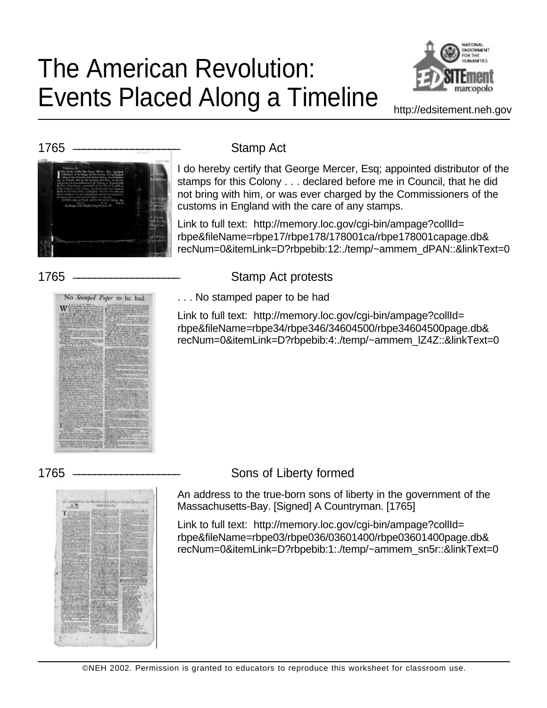# The American Revolution: Events Placed Along a Timeline



http://edsitement.neh.gov



I do hereby certify that George Mercer, Esq; appointed distributor of the stamps for this Colony . . . declared before me in Council, that he did not bring with him, or was ever charged by the Commissioners of the customs in England with the care of any stamps.

Link to full text: http://memory.loc.gov/cgi-bin/ampage?collId= rbpe&fileName=rbpe17/rbpe178/178001ca/rbpe178001capage.db& recNum=0&itemLink=D?rbpebib:12:./temp/~ammem\_dPAN::&linkText=0

# No Stamped Paper to be had.

# 1765 ———————————————————— Stamp Act protests . . . No stamped paper to be had

Link to full text: http://memory.loc.gov/cgi-bin/ampage?collId= rbpe&fileName=rbpe34/rbpe346/34604500/rbpe34604500page.db& recNum=0&itemLink=D?rbpebib:4:./temp/~ammem\_lZ4Z::&linkText=0

# 1765 \_\_\_\_\_\_\_\_\_\_\_\_\_\_\_\_\_\_\_\_ Sons of Liberty formed

An address to the true-born sons of liberty in the government of the Massachusetts-Bay. [Signed] A Countryman. [1765]

Link to full text: http://memory.loc.gov/cgi-bin/ampage?collId= rbpe&fileName=rbpe03/rbpe036/03601400/rbpe03601400page.db& recNum=0&itemLink=D?rbpebib:1:./temp/~ammem\_sn5r::&linkText=0

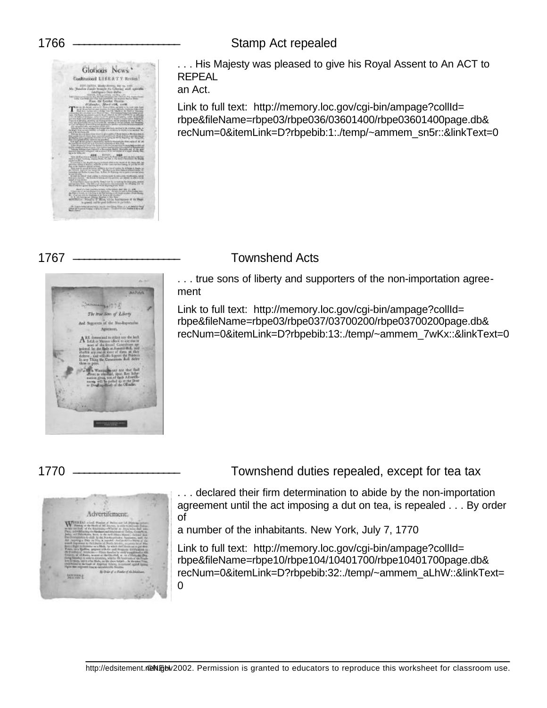### 1766 \_\_\_\_\_\_\_\_\_\_\_\_\_\_\_\_\_\_\_\_ Stamp Act repealed



. . . His Majesty was pleased to give his Royal Assent to An ACT to REPEAL

an Act.

Link to full text: http://memory.loc.gov/cgi-bin/ampage?collId= rbpe&fileName=rbpe03/rbpe036/03601400/rbpe03601400page.db& recNum=0&itemLink=D?rbpebib:1:./temp/~ammem\_sn5r::&linkText=0



# 1767 \_\_\_\_\_\_\_\_\_\_\_\_\_\_\_\_\_\_\_\_ Townshend Acts

. . . true sons of liberty and supporters of the non-importation agreement

Link to full text: http://memory.loc.gov/cgi-bin/ampage?collId= rbpe&fileName=rbpe03/rbpe037/03700200/rbpe03700200page.db& recNum=0&itemLink=D?rbpebib:13:./temp/~ammem\_7wKx::&linkText=0

### 1770 \_\_\_\_\_\_\_\_\_\_\_\_\_\_\_\_\_\_\_\_ Townshend duties repealed, except for tea tax



. . . declared their firm determination to abide by the non-importation agreement until the act imposing a dut on tea, is repealed . . . By order of

a number of the inhabitants. New York, July 7, 1770

Link to full text: http://memory.loc.gov/cgi-bin/ampage?collId= rbpe&fileName=rbpe10/rbpe104/10401700/rbpe10401700page.db& recNum=0&itemLink=D?rbpebib:32:./temp/~ammem\_aLhW::&linkText= 0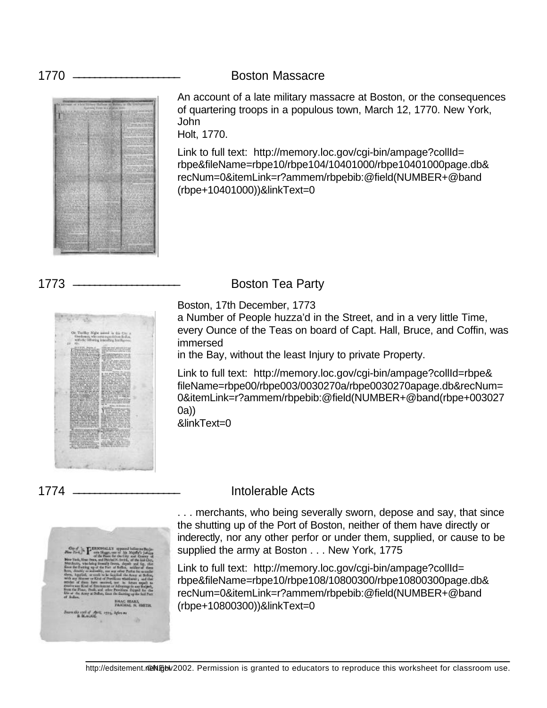1770 \_\_\_\_\_\_\_\_\_\_\_\_\_\_\_\_\_\_\_\_ Boston Massacre



An account of a late military massacre at Boston, or the consequences of quartering troops in a populous town, March 12, 1770. New York, John

Holt, 1770.

Link to full text: http://memory.loc.gov/cgi-bin/ampage?collId= rbpe&fileName=rbpe10/rbpe104/10401000/rbpe10401000page.db& recNum=0&itemLink=r?ammem/rbpebib:@field(NUMBER+@band (rbpe+10401000))&linkText=0





1773 \_\_\_\_\_\_\_\_\_\_\_\_\_\_\_\_\_\_\_\_ Boston Tea Party

Boston, 17th December, 1773

a Number of People huzza'd in the Street, and in a very little Time, every Ounce of the Teas on board of Capt. Hall, Bruce, and Coffin, was immersed

in the Bay, without the least Injury to private Property.

Link to full text: http://memory.loc.gov/cgi-bin/ampage?collId=rbpe& fileName=rbpe00/rbpe003/0030270a/rbpe0030270apage.db&recNum= 0&itemLink=r?ammem/rbpebib:@field(NUMBER+@band(rbpe+003027 0a))

&linkText=0

### 1774 \_\_\_\_\_\_\_\_\_\_\_\_\_\_\_\_\_\_\_\_ Intolerable Acts



. . . merchants, who being severally sworn, depose and say, that since the shutting up of the Port of Boston, neither of them have directly or inderectly, nor any other perfor or under them, supplied, or cause to be supplied the army at Boston . . . New York, 1775

Link to full text: http://memory.loc.gov/cgi-bin/ampage?collId= rbpe&fileName=rbpe10/rbpe108/10800300/rbpe10800300page.db& recNum=0&itemLink=r?ammem/rbpebib:@field(NUMBER+@band (rbpe+10800300))&linkText=0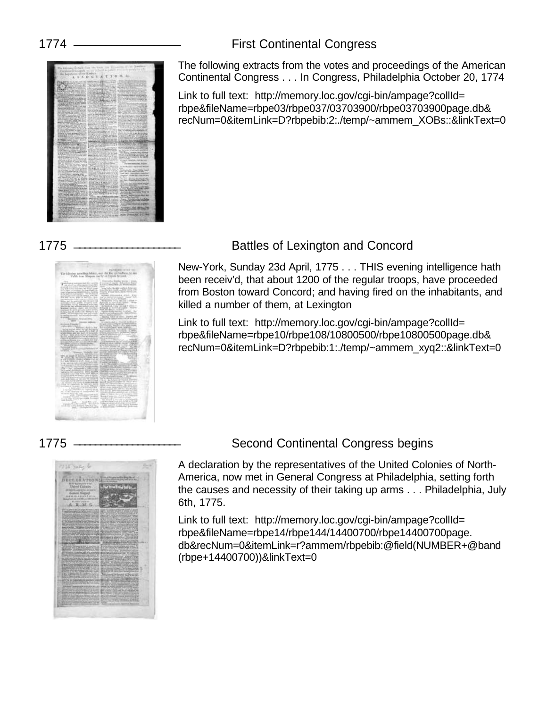## 1774 \_\_\_\_\_\_\_\_\_\_\_\_\_\_\_\_\_\_\_\_ First Continental Congress



The following extracts from the votes and proceedings of the American Continental Congress . . . In Congress, Philadelphia October 20, 1774

Link to full text: http://memory.loc.gov/cgi-bin/ampage?collId= rbpe&fileName=rbpe03/rbpe037/03703900/rbpe03703900page.db& recNum=0&itemLink=D?rbpebib:2:./temp/~ammem\_XOBs::&linkText=0



### 1775 \_\_\_\_\_\_\_\_\_\_\_\_\_\_\_\_\_\_\_\_ Battles of Lexington and Concord

New-York, Sunday 23d April, 1775 . . . THIS evening intelligence hath been receiv'd, that about 1200 of the regular troops, have proceeded from Boston toward Concord; and having fired on the inhabitants, and killed a number of them, at Lexington

Link to full text: http://memory.loc.gov/cgi-bin/ampage?collId= rbpe&fileName=rbpe10/rbpe108/10800500/rbpe10800500page.db& recNum=0&itemLink=D?rbpebib:1:./temp/~ammem\_xyq2::&linkText=0



### 1775 \_\_\_\_\_\_\_\_\_\_\_\_\_\_\_\_\_\_\_\_ Second Continental Congress begins

A declaration by the representatives of the United Colonies of North-America, now met in General Congress at Philadelphia, setting forth the causes and necessity of their taking up arms . . . Philadelphia, July 6th, 1775.

Link to full text: http://memory.loc.gov/cgi-bin/ampage?collId= rbpe&fileName=rbpe14/rbpe144/14400700/rbpe14400700page. db&recNum=0&itemLink=r?ammem/rbpebib:@field(NUMBER+@band (rbpe+14400700))&linkText=0